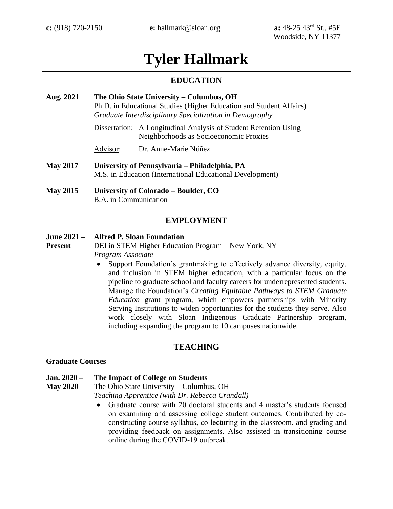# **Tyler Hallmark**

# **EDUCATION**

| Aug. 2021       | The Ohio State University – Columbus, OH<br>Ph.D. in Educational Studies (Higher Education and Student Affairs)<br>Graduate Interdisciplinary Specialization in Demography |                                                                                              |  |
|-----------------|----------------------------------------------------------------------------------------------------------------------------------------------------------------------------|----------------------------------------------------------------------------------------------|--|
|                 | Dissertation:                                                                                                                                                              | A Longitudinal Analysis of Student Retention Using<br>Neighborhoods as Socioeconomic Proxies |  |
|                 | Advisor:                                                                                                                                                                   | Dr. Anne-Marie Núñez                                                                         |  |
| <b>May 2017</b> | University of Pennsylvania – Philadelphia, PA<br>M.S. in Education (International Educational Development)                                                                 |                                                                                              |  |
| <b>May 2015</b> | University of Colorado – Boulder, CO<br>B.A. in Communication                                                                                                              |                                                                                              |  |

# **EMPLOYMENT**

#### **June 2021 – Alfred P. Sloan Foundation**

**Present** DEI in STEM Higher Education Program – New York, NY *Program Associate*

> • Support Foundation's grantmaking to effectively advance diversity, equity, and inclusion in STEM higher education, with a particular focus on the pipeline to graduate school and faculty careers for underrepresented students. Manage the Foundation's *Creating Equitable Pathways to STEM Graduate Education* grant program, which empowers partnerships with Minority Serving Institutions to widen opportunities for the students they serve. Also work closely with Sloan Indigenous Graduate Partnership program, including expanding the program to 10 campuses nationwide.

# **TEACHING**

#### **Graduate Courses**

#### **Jan. 2020 – The Impact of College on Students**

**May 2020** The Ohio State University – Columbus, OH *Teaching Apprentice (with Dr. Rebecca Crandall)*

> • Graduate course with 20 doctoral students and 4 master's students focused on examining and assessing college student outcomes. Contributed by coconstructing course syllabus, co-lecturing in the classroom, and grading and providing feedback on assignments. Also assisted in transitioning course online during the COVID-19 outbreak.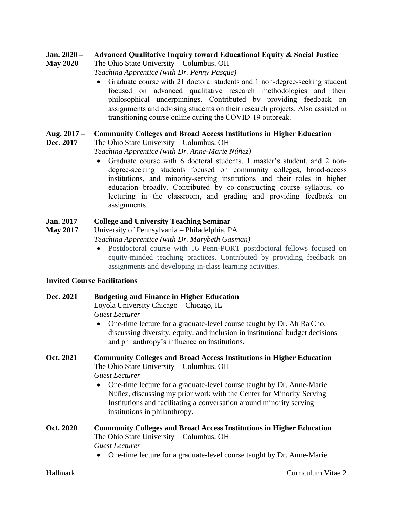#### **Jan. 2020 – Advanced Qualitative Inquiry toward Educational Equity & Social Justice**

**May 2020** The Ohio State University – Columbus, OH

- *Teaching Apprentice (with Dr. Penny Pasque)*
- Graduate course with 21 doctoral students and 1 non-degree-seeking student focused on advanced qualitative research methodologies and their philosophical underpinnings. Contributed by providing feedback on assignments and advising students on their research projects. Also assisted in transitioning course online during the COVID-19 outbreak.

#### **Aug. 2017 – Community Colleges and Broad Access Institutions in Higher Education**

**Dec. 2017** The Ohio State University – Columbus, OH

*Teaching Apprentice (with Dr. Anne-Marie Núñez)*

• Graduate course with 6 doctoral students, 1 master's student, and 2 nondegree-seeking students focused on community colleges, broad-access institutions, and minority-serving institutions and their roles in higher education broadly. Contributed by co-constructing course syllabus, colecturing in the classroom, and grading and providing feedback on assignments.

#### **Jan. 2017 – College and University Teaching Seminar**

**May 2017** University of Pennsylvania – Philadelphia, PA *Teaching Apprentice (with Dr. Marybeth Gasman)*

> • Postdoctoral course with 16 Penn-PORT postdoctoral fellows focused on equity-minded teaching practices. Contributed by providing feedback on assignments and developing in-class learning activities.

### **Invited Course Facilitations**

# **Dec. 2021 Budgeting and Finance in Higher Education**

Loyola University Chicago – Chicago, IL *Guest Lecturer*

• One-time lecture for a graduate-level course taught by Dr. Ah Ra Cho, discussing diversity, equity, and inclusion in institutional budget decisions and philanthropy's influence on institutions.

# **Oct. 2021 Community Colleges and Broad Access Institutions in Higher Education** The Ohio State University – Columbus, OH *Guest Lecturer*

• One-time lecture for a graduate-level course taught by Dr. Anne-Marie Núñez, discussing my prior work with the Center for Minority Serving Institutions and facilitating a conversation around minority serving institutions in philanthropy.

# **Oct. 2020 Community Colleges and Broad Access Institutions in Higher Education** The Ohio State University – Columbus, OH *Guest Lecturer*

• One-time lecture for a graduate-level course taught by Dr. Anne-Marie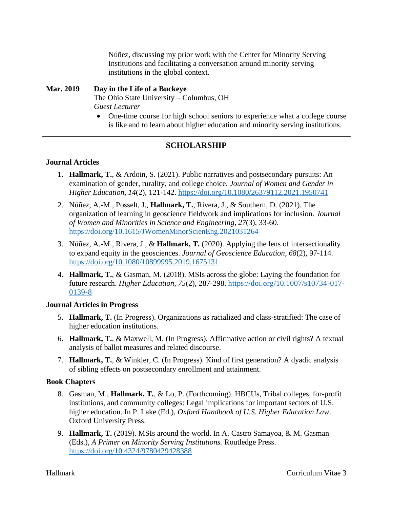Núñez, discussing my prior work with the Center for Minority Serving Institutions and facilitating a conversation around minority serving institutions in the global context.

# **Mar. 2019 Day in the Life of a Buckeye**

The Ohio State University – Columbus, OH *Guest Lecturer*

• One-time course for high school seniors to experience what a college course is like and to learn about higher education and minority serving institutions.

# **SCHOLARSHIP**

# **Journal Articles**

- 1. **Hallmark, T.**, & Ardoin, S. (2021). Public narratives and postsecondary pursuits: An examination of gender, rurality, and college choice. *Journal of Women and Gender in Higher Education, 14*(2), 121-142.<https://doi.org/10.1080/26379112.2021.1950741>
- 2. Núñez, A.-M., Posselt, J., **Hallmark, T.**, Rivera, J., & Southern, D. (2021). The organization of learning in geoscience fieldwork and implications for inclusion. *Journal of Women and Minorities in Science and Engineering, 27*(3), 33-60. <https://doi.org/10.1615/JWomenMinorScienEng.2021031264>
- 3. Núñez, A.-M., Rivera, J., & **Hallmark, T.** (2020). Applying the lens of intersectionality to expand equity in the geosciences. *Journal of Geoscience Education, 68*(2), 97-114. <https://doi.org/10.1080/10899995.2019.1675131>
- 4. **Hallmark, T.**, & Gasman, M. (2018). MSIs across the globe: Laying the foundation for future research. *Higher Education, 75*(2), 287-298. [https://doi.org/10.1007/s10734-017-](https://doi.org/10.1007/s10734-017-0139-8) [0139-8](https://doi.org/10.1007/s10734-017-0139-8)

# **Journal Articles in Progress**

- 5. **Hallmark, T.** (In Progress). Organizations as racialized and class-stratified: The case of higher education institutions.
- 6. **Hallmark, T.**, & Maxwell, M. (In Progress). Affirmative action or civil rights? A textual analysis of ballot measures and related discourse.
- 7. **Hallmark, T.**, & Winkler, C. (In Progress). Kind of first generation? A dyadic analysis of sibling effects on postsecondary enrollment and attainment.

### **Book Chapters**

- 8. Gasman, M., **Hallmark, T.**, & Lo, P. (Forthcoming). HBCUs, Tribal colleges, for-profit institutions, and community colleges: Legal implications for important sectors of U.S. higher education. In P. Lake (Ed.), *Oxford Handbook of U.S. Higher Education Law*. Oxford University Press.
- 9. **Hallmark, T.** (2019). MSIs around the world. In A. Castro Samayoa, & M. Gasman (Eds.), *A Primer on Minority Serving Institutions.* Routledge Press. <https://doi.org/10.4324/9780429428388>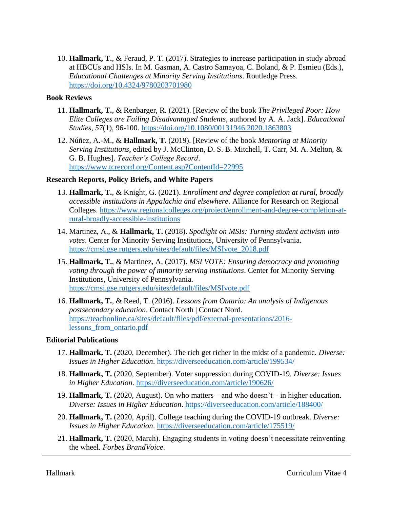10. **Hallmark, T.**, & Feraud, P. T. (2017). Strategies to increase participation in study abroad at HBCUs and HSIs*.* In M. Gasman, A. Castro Samayoa, C. Boland, & P. Esmieu (Eds.), *Educational Challenges at Minority Serving Institutions*. Routledge Press. <https://doi.org/10.4324/9780203701980>

# **Book Reviews**

- 11. **Hallmark, T.**, & Renbarger, R. (2021). [Review of the book *The Privileged Poor: How Elite Colleges are Failing Disadvantaged Students*, authored by A. A. Jack]. *Educational Studies, 57*(1), 96-100.<https://doi.org/10.1080/00131946.2020.1863803>
- 12. Núñez, A.-M., & **Hallmark, T.** (2019). [Review of the book *Mentoring at Minority Serving Institutions*, edited by J. McClinton, D. S. B. Mitchell, T. Carr, M. A. Melton, & G. B. Hughes]. *Teacher's College Record*. <https://www.tcrecord.org/Content.asp?ContentId=22995>

# **Research Reports, Policy Briefs, and White Papers**

- 13. **Hallmark, T.**, & Knight, G. (2021). *Enrollment and degree completion at rural, broadly accessible institutions in Appalachia and elsewhere*. Alliance for Research on Regional Colleges. [https://www.regionalcolleges.org/project/enrollment-and-degree-completion-at](https://www.regionalcolleges.org/project/enrollment-and-degree-completion-at-rural-broadly-accessible-institutions)[rural-broadly-accessible-institutions](https://www.regionalcolleges.org/project/enrollment-and-degree-completion-at-rural-broadly-accessible-institutions)
- 14. Martinez, A., & **Hallmark, T.** (2018). *Spotlight on MSIs: Turning student activism into votes*. Center for Minority Serving Institutions, University of Pennsylvania. [https://cmsi.gse.rutgers.edu/sites/default/files/MSIvote\\_2018.pdf](https://cmsi.gse.rutgers.edu/sites/default/files/MSIvote_2018.pdf)
- 15. **Hallmark, T.**, & Martinez, A. (2017). *MSI VOTE: Ensuring democracy and promoting voting through the power of minority serving institutions*. Center for Minority Serving Institutions, University of Pennsylvania. <https://cmsi.gse.rutgers.edu/sites/default/files/MSIvote.pdf>
- 16. **Hallmark, T.**, & Reed, T. (2016). *Lessons from Ontario: An analysis of Indigenous postsecondary education*. Contact North | Contact Nord. [https://teachonline.ca/sites/default/files/pdf/external-presentations/2016](https://teachonline.ca/sites/default/files/pdf/external-presentations/2016-lessons_from_ontario.pdf) [lessons\\_from\\_ontario.pdf](https://teachonline.ca/sites/default/files/pdf/external-presentations/2016-lessons_from_ontario.pdf)

### **Editorial Publications**

- 17. **Hallmark, T.** (2020, December). The rich get richer in the midst of a pandemic. *Diverse: Issues in Higher Education*.<https://diverseeducation.com/article/199534/>
- 18. **Hallmark, T.** (2020, September). Voter suppression during COVID-19. *Diverse: Issues in Higher Education*.<https://diverseeducation.com/article/190626/>
- 19. **Hallmark, T.** (2020, August). On who matters and who doesn't in higher education. *Diverse: Issues in Higher Education*.<https://diverseeducation.com/article/188400/>
- 20. **Hallmark, T.** (2020, April). College teaching during the COVID-19 outbreak. *Diverse: Issues in Higher Education*.<https://diverseeducation.com/article/175519/>
- 21. **Hallmark, T.** (2020, March). Engaging students in voting doesn't necessitate reinventing the wheel. *Forbes BrandVoice*.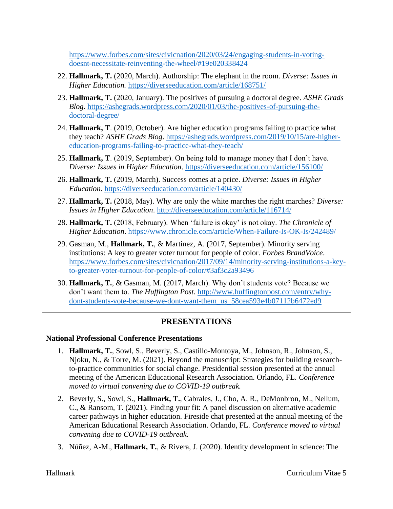[https://www.forbes.com/sites/civicnation/2020/03/24/engaging-students-in-voting](https://www.forbes.com/sites/civicnation/2020/03/24/engaging-students-in-voting-doesnt-necessitate-reinventing-the-wheel/#19e020338424)[doesnt-necessitate-reinventing-the-wheel/#19e020338424](https://www.forbes.com/sites/civicnation/2020/03/24/engaging-students-in-voting-doesnt-necessitate-reinventing-the-wheel/#19e020338424)

- 22. **Hallmark, T.** (2020, March). Authorship: The elephant in the room. *Diverse: Issues in Higher Education.* <https://diverseeducation.com/article/168751/>
- 23. **Hallmark, T.** (2020, January). The positives of pursuing a doctoral degree. *ASHE Grads Blog*. [https://ashegrads.wordpress.com/2020/01/03/the-positives-of-pursuing-the](https://ashegrads.wordpress.com/2020/01/03/the-positives-of-pursuing-the-doctoral-degree/)[doctoral-degree/](https://ashegrads.wordpress.com/2020/01/03/the-positives-of-pursuing-the-doctoral-degree/)
- 24. **Hallmark, T**. (2019, October). Are higher education programs failing to practice what they teach? *ASHE Grads Blog*. [https://ashegrads.wordpress.com/2019/10/15/are-higher](https://ashegrads.wordpress.com/2019/10/15/are-higher-education-programs-failing-to-practice-what-they-teach/)[education-programs-failing-to-practice-what-they-teach/](https://ashegrads.wordpress.com/2019/10/15/are-higher-education-programs-failing-to-practice-what-they-teach/)
- 25. **Hallmark, T**. (2019, September). On being told to manage money that I don't have. *Diverse: Issues in Higher Education*.<https://diverseeducation.com/article/156100/>
- 26. **Hallmark, T.** (2019, March). Success comes at a price. *Diverse: Issues in Higher Education*.<https://diverseeducation.com/article/140430/>
- 27. **Hallmark, T.** (2018, May). Why are only the white marches the right marches? *Diverse: Issues in Higher Education*.<http://diverseeducation.com/article/116714/>
- 28. **Hallmark, T.** (2018, February). When 'failure is okay' is not okay. *The Chronicle of Higher Education*.<https://www.chronicle.com/article/When-Failure-Is-OK-Is/242489/>
- 29. Gasman, M., **Hallmark, T.**, & Martinez, A. (2017, September). Minority serving institutions: A key to greater voter turnout for people of color. *Forbes BrandVoice*. [https://www.forbes.com/sites/civicnation/2017/09/14/minority-serving-institutions-a-key](https://www.forbes.com/sites/civicnation/2017/09/14/minority-serving-institutions-a-key-to-greater-voter-turnout-for-people-of-color/#3af3c2a93496)[to-greater-voter-turnout-for-people-of-color/#3af3c2a93496](https://www.forbes.com/sites/civicnation/2017/09/14/minority-serving-institutions-a-key-to-greater-voter-turnout-for-people-of-color/#3af3c2a93496)
- 30. **Hallmark, T.**, & Gasman, M. (2017, March). Why don't students vote? Because we don't want them to. *The Huffington Post*. [http://www.huffingtonpost.com/entry/why](http://www.huffingtonpost.com/entry/why-dont-students-vote-because-we-dont-want-them_us_58cea593e4b07112b6472ed9)[dont-students-vote-because-we-dont-want-them\\_us\\_58cea593e4b07112b6472ed9](http://www.huffingtonpost.com/entry/why-dont-students-vote-because-we-dont-want-them_us_58cea593e4b07112b6472ed9)

# **PRESENTATIONS**

# **National Professional Conference Presentations**

- 1. **Hallmark, T.**, Sowl, S., Beverly, S., Castillo-Montoya, M., Johnson, R., Johnson, S., Njoku, N., & Torre, M. (2021). Beyond the manuscript: Strategies for building researchto-practice communities for social change. Presidential session presented at the annual meeting of the American Educational Research Association. Orlando, FL. *Conference moved to virtual convening due to COVID-19 outbreak.*
- 2. Beverly, S., Sowl, S., **Hallmark, T.**, Cabrales, J., Cho, A. R., DeMonbron, M., Nellum, C., & Ransom, T. (2021). Finding your fit: A panel discussion on alternative academic career pathways in higher education. Fireside chat presented at the annual meeting of the American Educational Research Association. Orlando, FL. *Conference moved to virtual convening due to COVID-19 outbreak.*
- 3. Núñez, A-M., **Hallmark, T.**, & Rivera, J. (2020). Identity development in science: The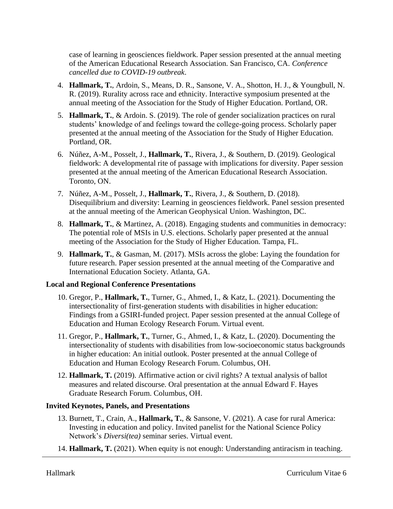case of learning in geosciences fieldwork. Paper session presented at the annual meeting of the American Educational Research Association. San Francisco, CA. *Conference cancelled due to COVID-19 outbreak*.

- 4. **Hallmark, T.**, Ardoin, S., Means, D. R., Sansone, V. A., Shotton, H. J., & Youngbull, N. R. (2019). Rurality across race and ethnicity. Interactive symposium presented at the annual meeting of the Association for the Study of Higher Education. Portland, OR.
- 5. **Hallmark, T.**, & Ardoin. S. (2019). The role of gender socialization practices on rural students' knowledge of and feelings toward the college-going process. Scholarly paper presented at the annual meeting of the Association for the Study of Higher Education. Portland, OR.
- 6. Núñez, A-M., Posselt, J., **Hallmark, T.**, Rivera, J., & Southern, D. (2019). Geological fieldwork: A developmental rite of passage with implications for diversity. Paper session presented at the annual meeting of the American Educational Research Association. Toronto, ON.
- 7. Núñez, A-M., Posselt, J., **Hallmark, T.**, Rivera, J., & Southern, D. (2018). Disequilibrium and diversity: Learning in geosciences fieldwork. Panel session presented at the annual meeting of the American Geophysical Union. Washington, DC.
- 8. **Hallmark, T.**, & Martinez, A. (2018). Engaging students and communities in democracy: The potential role of MSIs in U.S. elections. Scholarly paper presented at the annual meeting of the Association for the Study of Higher Education. Tampa, FL.
- 9. **Hallmark, T.**, & Gasman, M. (2017). MSIs across the globe: Laying the foundation for future research. Paper session presented at the annual meeting of the Comparative and International Education Society. Atlanta, GA.

# **Local and Regional Conference Presentations**

- 10. Gregor, P., **Hallmark, T.**, Turner, G., Ahmed, I., & Katz, L. (2021). Documenting the intersectionality of first-generation students with disabilities in higher education: Findings from a GSIRI-funded project. Paper session presented at the annual College of Education and Human Ecology Research Forum. Virtual event.
- 11. Gregor, P., **Hallmark, T.**, Turner, G., Ahmed, I., & Katz, L. (2020). Documenting the intersectionality of students with disabilities from low-socioeconomic status backgrounds in higher education: An initial outlook. Poster presented at the annual College of Education and Human Ecology Research Forum. Columbus, OH.
- 12. **Hallmark, T.** (2019). Affirmative action or civil rights? A textual analysis of ballot measures and related discourse. Oral presentation at the annual Edward F. Hayes Graduate Research Forum. Columbus, OH.

# **Invited Keynotes, Panels, and Presentations**

- 13. Burnett, T., Crain, A., **Hallmark, T.**, & Sansone, V. (2021). A case for rural America: Investing in education and policy. Invited panelist for the National Science Policy Network's *Diversi(tea)* seminar series. Virtual event.
- 14. **Hallmark, T.** (2021). When equity is not enough: Understanding antiracism in teaching.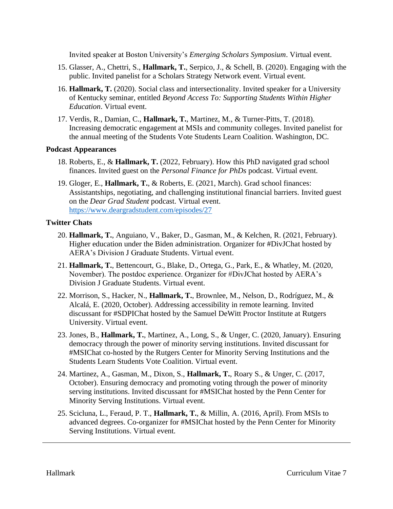Invited speaker at Boston University's *Emerging Scholars Symposium*. Virtual event.

- 15. Glasser, A., Chettri, S., **Hallmark, T.**, Serpico, J., & Schell, B. (2020). Engaging with the public. Invited panelist for a Scholars Strategy Network event. Virtual event.
- 16. **Hallmark, T.** (2020). Social class and intersectionality. Invited speaker for a University of Kentucky seminar, entitled *Beyond Access To: Supporting Students Within Higher Education*. Virtual event.
- 17. Verdis, R., Damian, C., **Hallmark, T.**, Martinez, M., & Turner-Pitts, T. (2018). Increasing democratic engagement at MSIs and community colleges. Invited panelist for the annual meeting of the Students Vote Students Learn Coalition. Washington, DC.

### **Podcast Appearances**

- 18. Roberts, E., & **Hallmark, T.** (2022, February). How this PhD navigated grad school finances. Invited guest on the *Personal Finance for PhDs* podcast. Virtual event.
- 19. Gloger, E., **Hallmark, T.**, & Roberts, E. (2021, March). Grad school finances: Assistantships, negotiating, and challenging institutional financial barriers. Invited guest on the *Dear Grad Student* podcast. Virtual event. <https://www.deargradstudent.com/episodes/27>

### **Twitter Chats**

- 20. **Hallmark, T.**, Anguiano, V., Baker, D., Gasman, M., & Kelchen, R. (2021, February). Higher education under the Biden administration. Organizer for #DivJChat hosted by AERA's Division J Graduate Students. Virtual event.
- 21. **Hallmark, T.**, Bettencourt, G., Blake, D., Ortega, G., Park, E., & Whatley, M. (2020, November). The postdoc experience. Organizer for #DivJChat hosted by AERA's Division J Graduate Students. Virtual event.
- 22. Morrison, S., Hacker, N., **Hallmark, T.**, Brownlee, M., Nelson, D., Rodríguez, M., & Alcalá, E. (2020, October). Addressing accessibility in remote learning. Invited discussant for #SDPIChat hosted by the Samuel DeWitt Proctor Institute at Rutgers University. Virtual event.
- 23. Jones, B., **Hallmark, T.**, Martinez, A., Long, S., & Unger, C. (2020, January). Ensuring democracy through the power of minority serving institutions. Invited discussant for #MSIChat co-hosted by the Rutgers Center for Minority Serving Institutions and the Students Learn Students Vote Coalition. Virtual event.
- 24. Martinez, A., Gasman, M., Dixon, S., **Hallmark, T.**, Roary S., & Unger, C. (2017, October). Ensuring democracy and promoting voting through the power of minority serving institutions. Invited discussant for #MSIChat hosted by the Penn Center for Minority Serving Institutions. Virtual event.
- 25. Scicluna, L., Feraud, P. T., **Hallmark, T.**, & Millin, A. (2016, April). From MSIs to advanced degrees. Co-organizer for #MSIChat hosted by the Penn Center for Minority Serving Institutions. Virtual event.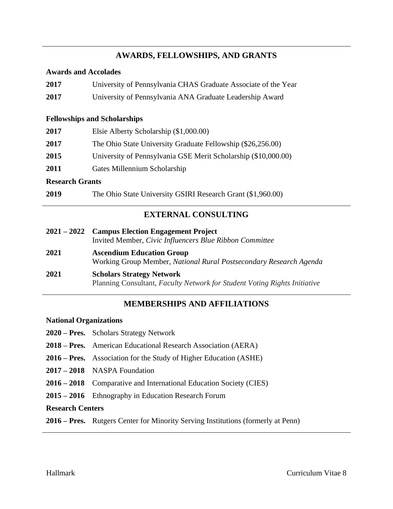# **AWARDS, FELLOWSHIPS, AND GRANTS**

### **Awards and Accolades**

| 2017                   | University of Pennsylvania CHAS Graduate Associate of the Year |  |  |
|------------------------|----------------------------------------------------------------|--|--|
| 2017                   | University of Pennsylvania ANA Graduate Leadership Award       |  |  |
|                        | <b>Fellowships and Scholarships</b>                            |  |  |
| 2017                   | Elsie Alberty Scholarship (\$1,000.00)                         |  |  |
| 2017                   | The Ohio State University Graduate Fellowship (\$26,256.00)    |  |  |
| 2015                   | University of Pennsylvania GSE Merit Scholarship (\$10,000.00) |  |  |
| 2011                   | Gates Millennium Scholarship                                   |  |  |
| <b>Research Grants</b> |                                                                |  |  |
| 2019                   | The Ohio State University GSIRI Research Grant (\$1,960.00)    |  |  |
|                        |                                                                |  |  |

# **EXTERNAL CONSULTING**

|             | 2021 – 2022 Campus Election Engagement Project                                                                |  |  |
|-------------|---------------------------------------------------------------------------------------------------------------|--|--|
|             | Invited Member, Civic Influencers Blue Ribbon Committee                                                       |  |  |
| <b>2021</b> | <b>Ascendium Education Group</b><br>Working Group Member, National Rural Postsecondary Research Agenda        |  |  |
| 2021        | <b>Scholars Strategy Network</b><br>Planning Consultant, Faculty Network for Student Voting Rights Initiative |  |  |

# **MEMBERSHIPS AND AFFILIATIONS**

### **National Organizations**

- **2020 – Pres.** Scholars Strategy Network
- **2018 – Pres.** American Educational Research Association (AERA)
- **2016 – Pres.** Association for the Study of Higher Education (ASHE)
- **2017 – 2018** NASPA Foundation
- **2016 – 2018** Comparative and International Education Society (CIES)
- **2015 – 2016** Ethnography in Education Research Forum

# **Research Centers**

**2016 – Pres.** Rutgers Center for Minority Serving Institutions (formerly at Penn)